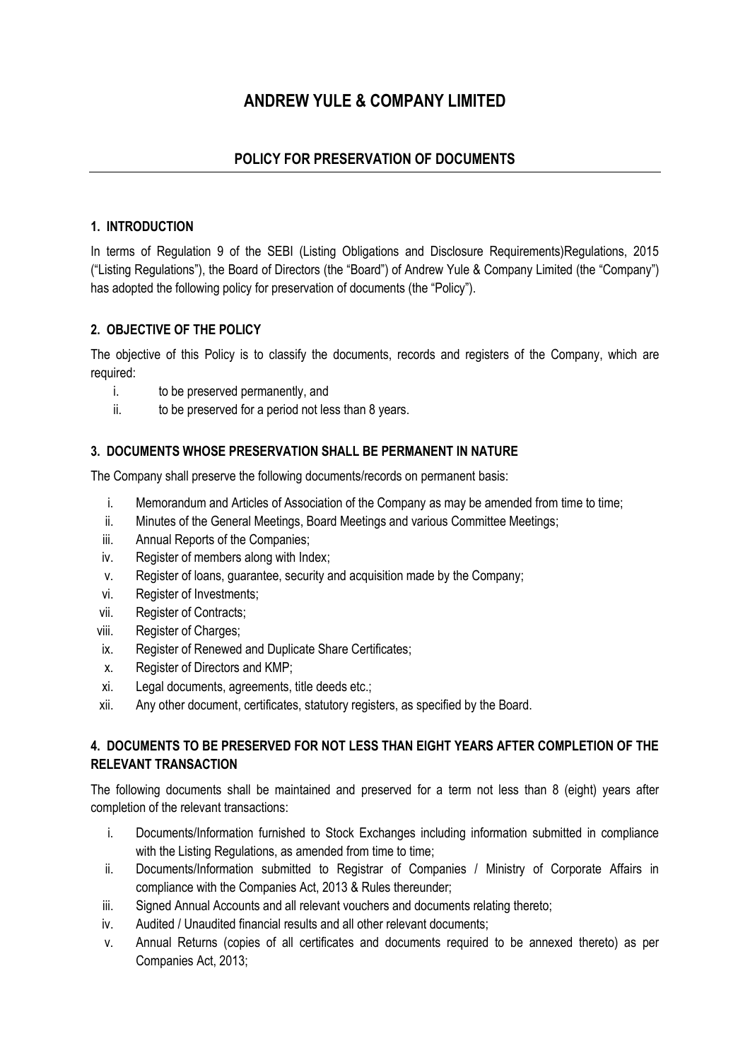# **ANDREW YULE & COMPANY LIMITED**

# **POLICY FOR PRESERVATION OF DOCUMENTS**

# **1. INTRODUCTION**

In terms of Regulation 9 of the SEBI (Listing Obligations and Disclosure Requirements) Regulations, 2015 ("Listing Regulations"), the Board of Directors (the "Board") of Andrew Yule & Company Limited (the "Company") has adopted the following policy for preservation of documents (the "Policy").

# **2. OBJECTIVE OF THE POLICY**

The objective of this Policy is to classify the documents, records and registers of the Company, which are required:

- i. to be preserved permanently, and
- ii. to be preserved for a period not less than 8 years.

# **3. DOCUMENTS WHOSE PRESERVATION SHALL BE PERMANENT IN NATURE**

The Company shall preserve the following documents/records on permanent basis:

- i. Memorandum and Articles of Association of the Company as may be amended from time to time;
- ii. Minutes of the General Meetings, Board Meetings and various Committee Meetings;
- iii. Annual Reports of the Companies;
- iv. Register of members along with Index;
- v. Register of loans, guarantee, security and acquisition made by the Company;
- vi. Register of Investments;
- vii. Register of Contracts;
- viii. Register of Charges;
- ix. Register of Renewed and Duplicate Share Certificates;
- x. Register of Directors and KMP;
- xi. Legal documents, agreements, title deeds etc.;
- xii. Any other document, certificates, statutory registers, as specified by the Board.

# **4. DOCUMENTS TO BE PRESERVED FOR NOT LESS THAN EIGHT YEARS AFTER COMPLETION OF THE RELEVANT TRANSACTION**

The following documents shall be maintained and preserved for a term not less than 8 (eight) years after completion of the relevant transactions:

- i. Documents/Information furnished to Stock Exchanges including information submitted in compliance with the Listing Regulations, as amended from time to time;
- ii. Documents/Information submitted to Registrar of Companies / Ministry of Corporate Affairs in compliance with the Companies Act, 2013 & Rules thereunder;
- iii. Signed Annual Accounts and all relevant vouchers and documents relating thereto;
- iv. Audited / Unaudited financial results and all other relevant documents;
- v. Annual Returns (copies of all certificates and documents required to be annexed thereto) as per Companies Act, 2013;